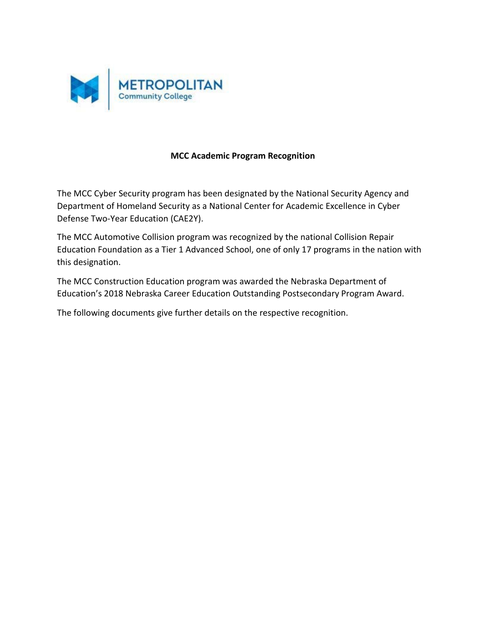

## **MCC Academic Program Recognition**

The MCC Cyber Security program has been designated by the National Security Agency and Department of Homeland Security as a National Center for Academic Excellence in Cyber Defense Two‐Year Education (CAE2Y).

The MCC Automotive Collision program was recognized by the national Collision Repair Education Foundation as a Tier 1 Advanced School, one of only 17 programs in the nation with this designation.

The MCC Construction Education program was awarded the Nebraska Department of Education's 2018 Nebraska Career Education Outstanding Postsecondary Program Award.

The following documents give further details on the respective recognition.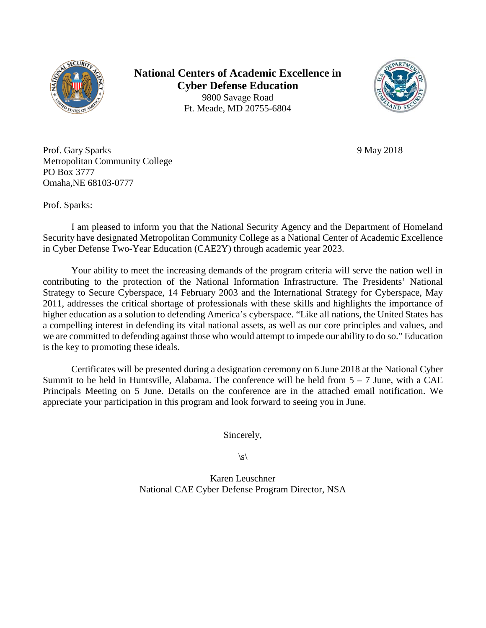

**National Centers of Academic Excellence in Cyber Defense Education** 9800 Savage Road Ft. Meade, MD 20755-6804



Prof. Gary Sparks 9 May 2018 Metropolitan Community College PO Box 3777 Omaha,NE 68103-0777

Prof. Sparks:

I am pleased to inform you that the National Security Agency and the Department of Homeland Security have designated Metropolitan Community College as a National Center of Academic Excellence in Cyber Defense Two-Year Education (CAE2Y) through academic year 2023.

Your ability to meet the increasing demands of the program criteria will serve the nation well in contributing to the protection of the National Information Infrastructure. The Presidents' National Strategy to Secure Cyberspace, 14 February 2003 and the International Strategy for Cyberspace, May 2011, addresses the critical shortage of professionals with these skills and highlights the importance of higher education as a solution to defending America's cyberspace. "Like all nations, the United States has a compelling interest in defending its vital national assets, as well as our core principles and values, and we are committed to defending against those who would attempt to impede our ability to do so." Education is the key to promoting these ideals.

Certificates will be presented during a designation ceremony on 6 June 2018 at the National Cyber Summit to be held in Huntsville, Alabama. The conference will be held from  $5 - 7$  June, with a CAE Principals Meeting on 5 June. Details on the conference are in the attached email notification. We appreciate your participation in this program and look forward to seeing you in June.

Sincerely,

 $\mathcal{S}\setminus$ 

Karen Leuschner National CAE Cyber Defense Program Director, NSA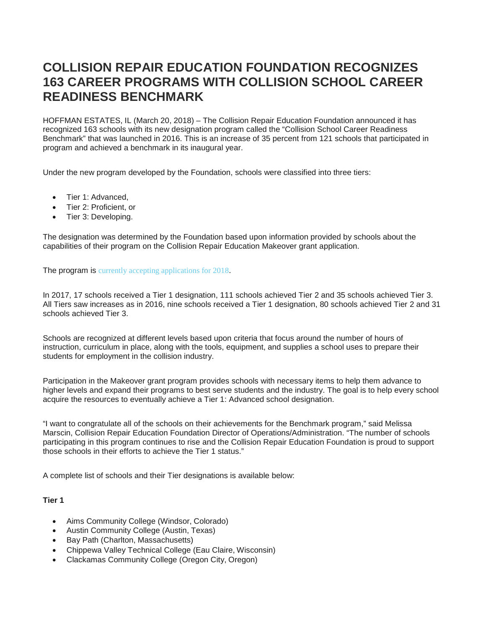# **COLLISION REPAIR EDUCATION FOUNDATION RECOGNIZES 163 CAREER PROGRAMS WITH COLLISION SCHOOL CAREER READINESS BENCHMARK**

HOFFMAN ESTATES, IL (March 20, 2018) – The Collision Repair Education Foundation announced it has recognized 163 schools with its new designation program called the "Collision School Career Readiness Benchmark" that was launched in 2016. This is an increase of 35 percent from 121 schools that participated in program and achieved a benchmark in its inaugural year.

Under the new program developed by the Foundation, schools were classified into three tiers:

- Tier 1: Advanced.
- Tier 2: Proficient, or
- Tier 3: Developing.

The designation was determined by the Foundation based upon information provided by schools about the capabilities of their program on the Collision Repair Education Makeover grant application.

The program is [currently accepting applications for 2018](http://www.collisioneducationfoundation.org/ultimate-collision-education-makeover-grant/).

In 2017, 17 schools received a Tier 1 designation, 111 schools achieved Tier 2 and 35 schools achieved Tier 3. All Tiers saw increases as in 2016, nine schools received a Tier 1 designation, 80 schools achieved Tier 2 and 31 schools achieved Tier 3.

Schools are recognized at different levels based upon criteria that focus around the number of hours of instruction, curriculum in place, along with the tools, equipment, and supplies a school uses to prepare their students for employment in the collision industry.

Participation in the Makeover grant program provides schools with necessary items to help them advance to higher levels and expand their programs to best serve students and the industry. The goal is to help every school acquire the resources to eventually achieve a Tier 1: Advanced school designation.

"I want to congratulate all of the schools on their achievements for the Benchmark program," said Melissa Marscin, Collision Repair Education Foundation Director of Operations/Administration. "The number of schools participating in this program continues to rise and the Collision Repair Education Foundation is proud to support those schools in their efforts to achieve the Tier 1 status."

A complete list of schools and their Tier designations is available below:

#### **Tier 1**

- Aims Community College (Windsor, Colorado)
- Austin Community College (Austin, Texas)
- Bay Path (Charlton, Massachusetts)
- Chippewa Valley Technical College (Eau Claire, Wisconsin)
- Clackamas Community College (Oregon City, Oregon)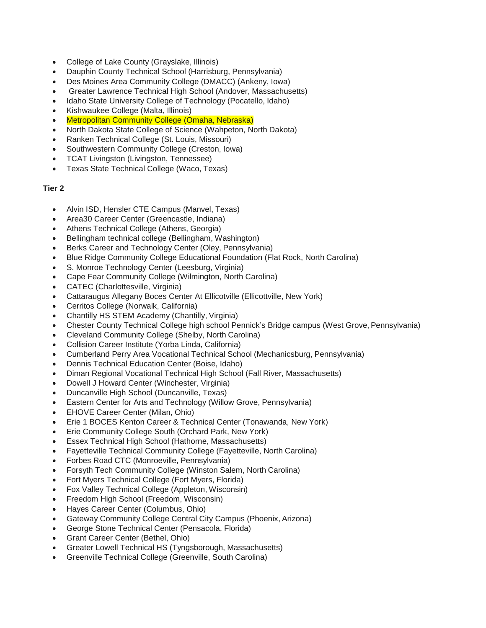- College of Lake County (Grayslake, Illinois)
- Dauphin County Technical School (Harrisburg, Pennsylvania)
- Des Moines Area Community College (DMACC) (Ankeny, Iowa)
- Greater Lawrence Technical High School (Andover, Massachusetts)
- Idaho State University College of Technology (Pocatello, Idaho)
- Kishwaukee College (Malta, Illinois)
- Metropolitan Community College (Omaha, Nebraska)
- North Dakota State College of Science (Wahpeton, North Dakota)
- Ranken Technical College (St. Louis, Missouri)
- Southwestern Community College (Creston, Iowa)
- TCAT Livingston (Livingston, Tennessee)
- Texas State Technical College (Waco, Texas)

### **Tier 2**

- Alvin ISD, Hensler CTE Campus (Manvel, Texas)
- Area30 Career Center (Greencastle, Indiana)
- Athens Technical College (Athens, Georgia)
- Bellingham technical college (Bellingham, Washington)
- Berks Career and Technology Center (Oley, Pennsylvania)
- Blue Ridge Community College Educational Foundation (Flat Rock, North Carolina)
- S. Monroe Technology Center (Leesburg, Virginia)
- Cape Fear Community College (Wilmington, North Carolina)
- CATEC (Charlottesville, Virginia)
- Cattaraugus Allegany Boces Center At Ellicotville (Ellicottville, New York)
- Cerritos College (Norwalk, California)
- Chantilly HS STEM Academy (Chantilly, Virginia)
- Chester County Technical College high school Pennick's Bridge campus (West Grove, Pennsylvania)
- Cleveland Community College (Shelby, North Carolina)
- Collision Career Institute (Yorba Linda, California)
- Cumberland Perry Area Vocational Technical School (Mechanicsburg, Pennsylvania)
- Dennis Technical Education Center (Boise, Idaho)
- Diman Regional Vocational Technical High School (Fall River, Massachusetts)
- Dowell J Howard Center (Winchester, Virginia)
- Duncanville High School (Duncanville, Texas)
- Eastern Center for Arts and Technology (Willow Grove, Pennsylvania)
- EHOVE Career Center (Milan, Ohio)
- Erie 1 BOCES Kenton Career & Technical Center (Tonawanda, New York)
- Erie Community College South (Orchard Park, New York)
- Essex Technical High School (Hathorne, Massachusetts)
- Fayetteville Technical Community College (Fayetteville, North Carolina)
- Forbes Road CTC (Monroeville, Pennsylvania)
- Forsyth Tech Community College (Winston Salem, North Carolina)
- Fort Myers Technical College (Fort Myers, Florida)
- Fox Valley Technical College (Appleton, Wisconsin)
- Freedom High School (Freedom, Wisconsin)
- Hayes Career Center (Columbus, Ohio)
- Gateway Community College Central City Campus (Phoenix, Arizona)
- George Stone Technical Center (Pensacola, Florida)
- Grant Career Center (Bethel, Ohio)
- Greater Lowell Technical HS (Tyngsborough, Massachusetts)
- Greenville Technical College (Greenville, South Carolina)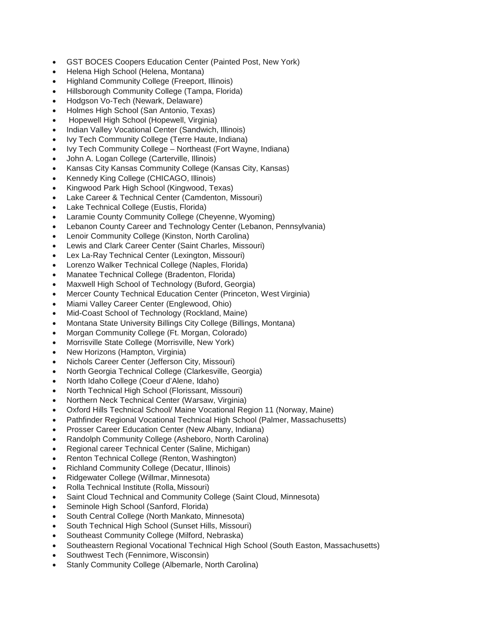- GST BOCES Coopers Education Center (Painted Post, New York)
- Helena High School (Helena, Montana)
- Highland Community College (Freeport, Illinois)
- Hillsborough Community College (Tampa, Florida)
- Hodgson Vo-Tech (Newark, Delaware)
- Holmes High School (San Antonio, Texas)
- Hopewell High School (Hopewell, Virginia)
- Indian Valley Vocational Center (Sandwich, Illinois)
- Ivy Tech Community College (Terre Haute, Indiana)
- Ivy Tech Community College Northeast (Fort Wayne, Indiana)
- John A. Logan College (Carterville, Illinois)
- Kansas City Kansas Community College (Kansas City, Kansas)
- Kennedy King College (CHICAGO, Illinois)
- Kingwood Park High School (Kingwood, Texas)
- Lake Career & Technical Center (Camdenton, Missouri)
- Lake Technical College (Eustis, Florida)
- Laramie County Community College (Cheyenne, Wyoming)
- Lebanon County Career and Technology Center (Lebanon, Pennsylvania)
- Lenoir Community College (Kinston, North Carolina)
- Lewis and Clark Career Center (Saint Charles, Missouri)
- Lex La-Ray Technical Center (Lexington, Missouri)
- Lorenzo Walker Technical College (Naples, Florida)
- Manatee Technical College (Bradenton, Florida)
- Maxwell High School of Technology (Buford, Georgia)
- Mercer County Technical Education Center (Princeton, West Virginia)
- Miami Valley Career Center (Englewood, Ohio)
- Mid-Coast School of Technology (Rockland, Maine)
- Montana State University Billings City College (Billings, Montana)
- Morgan Community College (Ft. Morgan, Colorado)
- Morrisville State College (Morrisville, New York)
- New Horizons (Hampton, Virginia)
- Nichols Career Center (Jefferson City, Missouri)
- North Georgia Technical College (Clarkesville, Georgia)
- North Idaho College (Coeur d'Alene, Idaho)
- North Technical High School (Florissant, Missouri)
- Northern Neck Technical Center (Warsaw, Virginia)
- Oxford Hills Technical School/ Maine Vocational Region 11 (Norway, Maine)
- Pathfinder Regional Vocational Technical High School (Palmer, Massachusetts)
- Prosser Career Education Center (New Albany, Indiana)
- Randolph Community College (Asheboro, North Carolina)
- Regional career Technical Center (Saline, Michigan)
- Renton Technical College (Renton, Washington)
- Richland Community College (Decatur, Illinois)
- Ridgewater College (Willmar, Minnesota)
- Rolla Technical Institute (Rolla, Missouri)
- Saint Cloud Technical and Community College (Saint Cloud, Minnesota)
- Seminole High School (Sanford, Florida)
- South Central College (North Mankato, Minnesota)
- South Technical High School (Sunset Hills, Missouri)
- Southeast Community College (Milford, Nebraska)
- Southeastern Regional Vocational Technical High School (South Easton, Massachusetts)
- Southwest Tech (Fennimore, Wisconsin)
- Stanly Community College (Albemarle, North Carolina)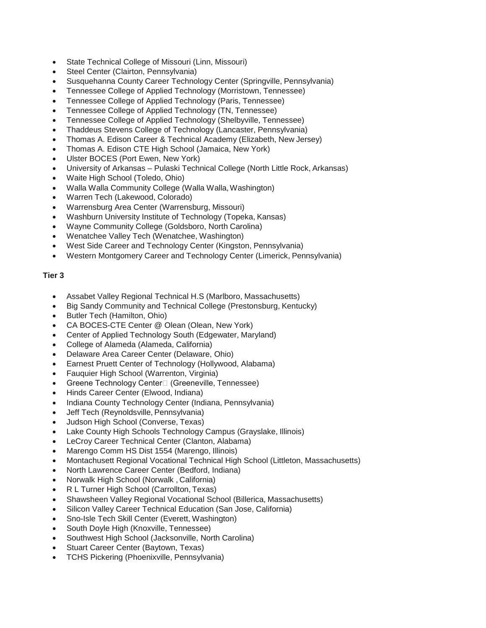- State Technical College of Missouri (Linn, Missouri)
- Steel Center (Clairton, Pennsylvania)
- Susquehanna County Career Technology Center (Springville, Pennsylvania)
- Tennessee College of Applied Technology (Morristown, Tennessee)
- Tennessee College of Applied Technology (Paris, Tennessee)
- Tennessee College of Applied Technology (TN, Tennessee)
- Tennessee College of Applied Technology (Shelbyville, Tennessee)
- Thaddeus Stevens College of Technology (Lancaster, Pennsylvania)
- Thomas A. Edison Career & Technical Academy (Elizabeth, New Jersey)
- Thomas A. Edison CTE High School (Jamaica, New York)
- Ulster BOCES (Port Ewen, New York)
- University of Arkansas Pulaski Technical College (North Little Rock, Arkansas)
- Waite High School (Toledo, Ohio)
- Walla Walla Community College (Walla Walla, Washington)
- Warren Tech (Lakewood, Colorado)
- Warrensburg Area Center (Warrensburg, Missouri)
- Washburn University Institute of Technology (Topeka, Kansas)
- Wayne Community College (Goldsboro, North Carolina)
- Wenatchee Valley Tech (Wenatchee, Washington)
- West Side Career and Technology Center (Kingston, Pennsylvania)
- Western Montgomery Career and Technology Center (Limerick, Pennsylvania)

#### **Tier 3**

- Assabet Valley Regional Technical H.S (Marlboro, Massachusetts)
- Big Sandy Community and Technical College (Prestonsburg, Kentucky)
- Butler Tech (Hamilton, Ohio)
- CA BOCES-CTE Center @ Olean (Olean, New York)
- Center of Applied Technology South (Edgewater, Maryland)
- College of Alameda (Alameda, California)
- Delaware Area Career Center (Delaware, Ohio)
- Earnest Pruett Center of Technology (Hollywood, Alabama)
- Fauquier High School (Warrenton, Virginia)
- Greene Technology Center<sup>[1]</sup> (Greeneville, Tennessee)
- Hinds Career Center (Elwood, Indiana)
- Indiana County Technology Center (Indiana, Pennsylvania)
- Jeff Tech (Reynoldsville, Pennsylvania)
- Judson High School (Converse, Texas)
- Lake County High Schools Technology Campus (Grayslake, Illinois)
- LeCroy Career Technical Center (Clanton, Alabama)
- Marengo Comm HS Dist 1554 (Marengo, Illinois)
- Montachusett Regional Vocational Technical High School (Littleton, Massachusetts)
- North Lawrence Career Center (Bedford, Indiana)
- Norwalk High School (Norwalk , California)
- R L Turner High School (Carrollton, Texas)
- Shawsheen Valley Regional Vocational School (Billerica, Massachusetts)
- Silicon Valley Career Technical Education (San Jose, California)
- Sno-Isle Tech Skill Center (Everett, Washington)
- South Doyle High (Knoxville, Tennessee)
- Southwest High School (Jacksonville, North Carolina)
- Stuart Career Center (Baytown, Texas)
- TCHS Pickering (Phoenixville, Pennsylvania)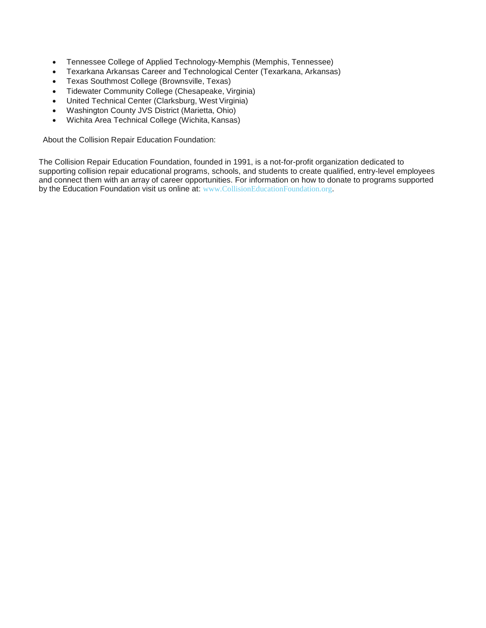- Tennessee College of Applied Technology-Memphis (Memphis, Tennessee)
- Texarkana Arkansas Career and Technological Center (Texarkana, Arkansas)
- Texas Southmost College (Brownsville, Texas)
- Tidewater Community College (Chesapeake, Virginia)
- United Technical Center (Clarksburg, West Virginia)
- Washington County JVS District (Marietta, Ohio)
- Wichita Area Technical College (Wichita, Kansas)

About the Collision Repair Education Foundation:

The Collision Repair Education Foundation, founded in 1991, is a not-for-profit organization dedicated to supporting collision repair educational programs, schools, and students to create qualified, entry-level employees and connect them with an array of career opportunities. For information on how to donate to programs supported by the Education Foundation visit us online at: [www.CollisionEducationFoundation.org](http://www.collisioneducationfoundation.org/).